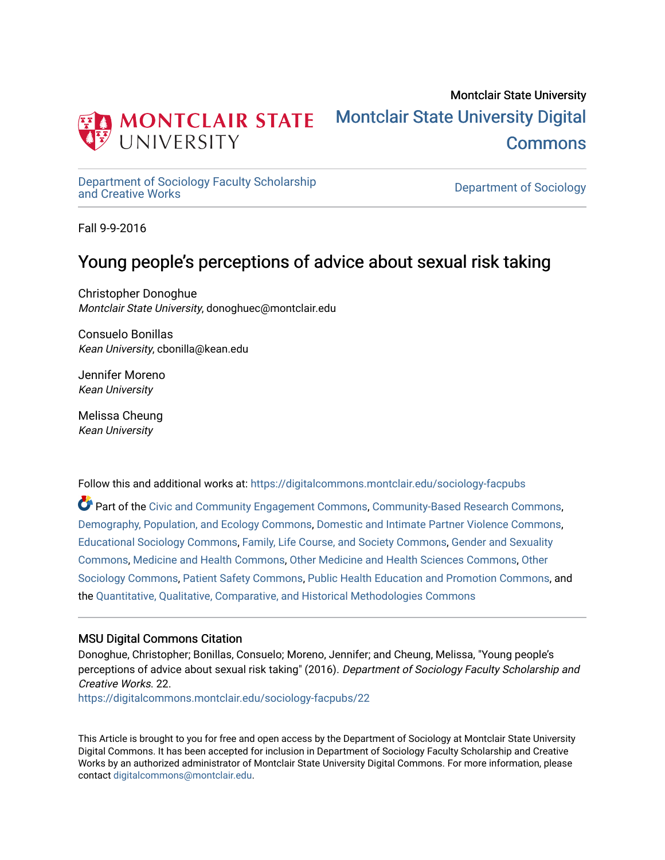

# Montclair State University [Montclair State University Digital](https://digitalcommons.montclair.edu/)  [Commons](https://digitalcommons.montclair.edu/)

[Department of Sociology Faculty Scholarship](https://digitalcommons.montclair.edu/sociology-facpubs)

Department of Sociology

Fall 9-9-2016

# Young people's perceptions of advice about sexual risk taking

Christopher Donoghue Montclair State University, donoghuec@montclair.edu

Consuelo Bonillas Kean University, cbonilla@kean.edu

Jennifer Moreno Kean University

Melissa Cheung Kean University

Follow this and additional works at: [https://digitalcommons.montclair.edu/sociology-facpubs](https://digitalcommons.montclair.edu/sociology-facpubs?utm_source=digitalcommons.montclair.edu%2Fsociology-facpubs%2F22&utm_medium=PDF&utm_campaign=PDFCoverPages)

Part of the [Civic and Community Engagement Commons](http://network.bepress.com/hgg/discipline/1028?utm_source=digitalcommons.montclair.edu%2Fsociology-facpubs%2F22&utm_medium=PDF&utm_campaign=PDFCoverPages), [Community-Based Research Commons](http://network.bepress.com/hgg/discipline/1047?utm_source=digitalcommons.montclair.edu%2Fsociology-facpubs%2F22&utm_medium=PDF&utm_campaign=PDFCoverPages), [Demography, Population, and Ecology Commons](http://network.bepress.com/hgg/discipline/418?utm_source=digitalcommons.montclair.edu%2Fsociology-facpubs%2F22&utm_medium=PDF&utm_campaign=PDFCoverPages), [Domestic and Intimate Partner Violence Commons,](http://network.bepress.com/hgg/discipline/1309?utm_source=digitalcommons.montclair.edu%2Fsociology-facpubs%2F22&utm_medium=PDF&utm_campaign=PDFCoverPages) [Educational Sociology Commons,](http://network.bepress.com/hgg/discipline/1071?utm_source=digitalcommons.montclair.edu%2Fsociology-facpubs%2F22&utm_medium=PDF&utm_campaign=PDFCoverPages) [Family, Life Course, and Society Commons](http://network.bepress.com/hgg/discipline/419?utm_source=digitalcommons.montclair.edu%2Fsociology-facpubs%2F22&utm_medium=PDF&utm_campaign=PDFCoverPages), [Gender and Sexuality](http://network.bepress.com/hgg/discipline/420?utm_source=digitalcommons.montclair.edu%2Fsociology-facpubs%2F22&utm_medium=PDF&utm_campaign=PDFCoverPages) [Commons](http://network.bepress.com/hgg/discipline/420?utm_source=digitalcommons.montclair.edu%2Fsociology-facpubs%2F22&utm_medium=PDF&utm_campaign=PDFCoverPages), [Medicine and Health Commons](http://network.bepress.com/hgg/discipline/422?utm_source=digitalcommons.montclair.edu%2Fsociology-facpubs%2F22&utm_medium=PDF&utm_campaign=PDFCoverPages), [Other Medicine and Health Sciences Commons,](http://network.bepress.com/hgg/discipline/772?utm_source=digitalcommons.montclair.edu%2Fsociology-facpubs%2F22&utm_medium=PDF&utm_campaign=PDFCoverPages) [Other](http://network.bepress.com/hgg/discipline/434?utm_source=digitalcommons.montclair.edu%2Fsociology-facpubs%2F22&utm_medium=PDF&utm_campaign=PDFCoverPages)  [Sociology Commons](http://network.bepress.com/hgg/discipline/434?utm_source=digitalcommons.montclair.edu%2Fsociology-facpubs%2F22&utm_medium=PDF&utm_campaign=PDFCoverPages), [Patient Safety Commons](http://network.bepress.com/hgg/discipline/1410?utm_source=digitalcommons.montclair.edu%2Fsociology-facpubs%2F22&utm_medium=PDF&utm_campaign=PDFCoverPages), [Public Health Education and Promotion Commons](http://network.bepress.com/hgg/discipline/743?utm_source=digitalcommons.montclair.edu%2Fsociology-facpubs%2F22&utm_medium=PDF&utm_campaign=PDFCoverPages), and the [Quantitative, Qualitative, Comparative, and Historical Methodologies Commons](http://network.bepress.com/hgg/discipline/423?utm_source=digitalcommons.montclair.edu%2Fsociology-facpubs%2F22&utm_medium=PDF&utm_campaign=PDFCoverPages)

# MSU Digital Commons Citation

Donoghue, Christopher; Bonillas, Consuelo; Moreno, Jennifer; and Cheung, Melissa, "Young people's perceptions of advice about sexual risk taking" (2016). Department of Sociology Faculty Scholarship and Creative Works. 22.

[https://digitalcommons.montclair.edu/sociology-facpubs/22](https://digitalcommons.montclair.edu/sociology-facpubs/22?utm_source=digitalcommons.montclair.edu%2Fsociology-facpubs%2F22&utm_medium=PDF&utm_campaign=PDFCoverPages) 

This Article is brought to you for free and open access by the Department of Sociology at Montclair State University Digital Commons. It has been accepted for inclusion in Department of Sociology Faculty Scholarship and Creative Works by an authorized administrator of Montclair State University Digital Commons. For more information, please contact [digitalcommons@montclair.edu](mailto:digitalcommons@montclair.edu).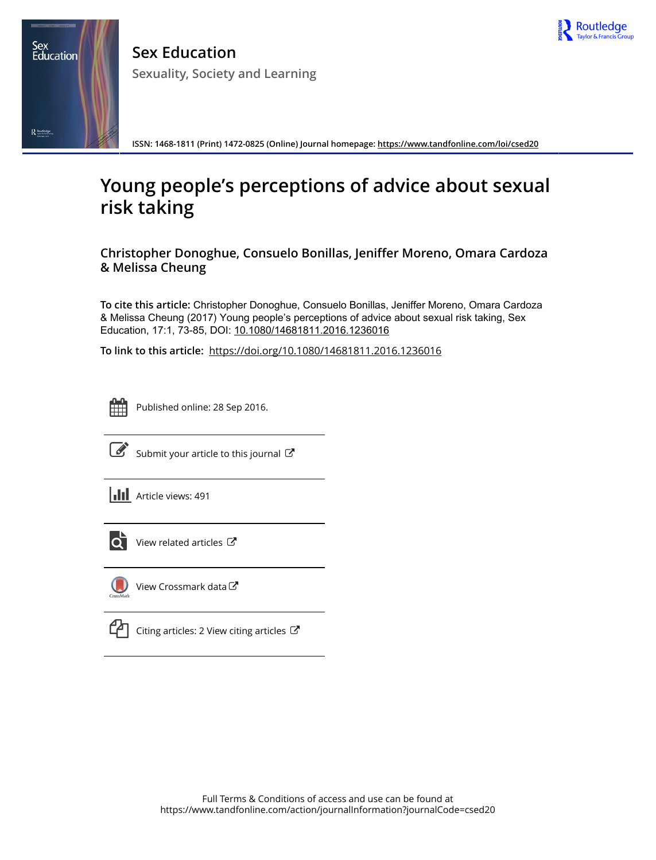

**Sex Education Sexuality, Society and Learning**

**ISSN: 1468-1811 (Print) 1472-0825 (Online) Journal homepage:<https://www.tandfonline.com/loi/csed20>**

# **Young people's perceptions of advice about sexual risk taking**

**Christopher Donoghue, Consuelo Bonillas, Jeniffer Moreno, Omara Cardoza & Melissa Cheung**

**To cite this article:** Christopher Donoghue, Consuelo Bonillas, Jeniffer Moreno, Omara Cardoza & Melissa Cheung (2017) Young people's perceptions of advice about sexual risk taking, Sex Education, 17:1, 73-85, DOI: [10.1080/14681811.2016.1236016](https://www.tandfonline.com/action/showCitFormats?doi=10.1080/14681811.2016.1236016)

**To link to this article:** <https://doi.org/10.1080/14681811.2016.1236016>



Sex<br>Education

 $R_{\frac{3}{2}$  Routledge

Published online: 28 Sep 2016.



[Submit your article to this journal](https://www.tandfonline.com/action/authorSubmission?journalCode=csed20&show=instructions)  $\mathbb{C}$ 

 $\left\| \cdot \right\|$  Article views: 491



 $\overrightarrow{O}$  [View related articles](https://www.tandfonline.com/doi/mlt/10.1080/14681811.2016.1236016)  $\overrightarrow{C}$ 



[View Crossmark data](http://crossmark.crossref.org/dialog/?doi=10.1080/14681811.2016.1236016&domain=pdf&date_stamp=2016-09-28) $\mathbb{Z}$ 



 $\mathbb{C}$  [Citing articles: 2 View citing articles](https://www.tandfonline.com/doi/citedby/10.1080/14681811.2016.1236016#tabModule)  $\mathbb{C}$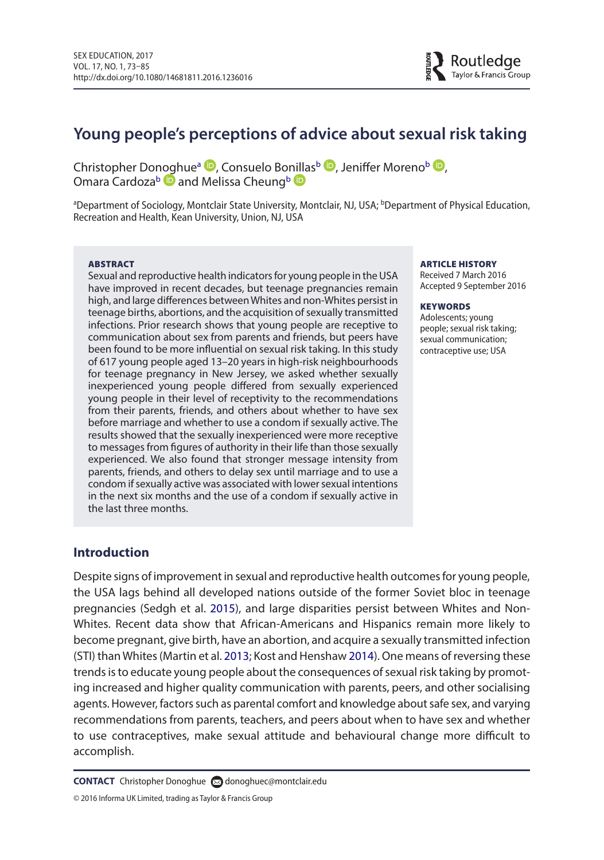# **Young people's perceptions of advice about sexual risk taking**

Christopher Donoghue<sup>a</sup> **D**[,](http://orcid.org/0000-0002-7479-8233) Consuelo Bo[nilla](http://orcid.org/0000-0002-8076-0725)s<sup>b</sup> **D**[,](http://orcid.org/0000-0001-5937-8460) Jeniffer Moreno<sup>b</sup> **D**, Omara Cardoza<sup>b</sup> and Melissa Cheung<sup>b</sup>

ªDepartment of Sociology, Montclair State University, Montclair, NJ, USA; <sup>b</sup>Department of Physical Education, Recreation and Health, Kean University, Union, NJ, USA

#### ABSTRACT

Sexual and reproductive health indicators for young people in the USA have improved in recent decades, but teenage pregnancies remain high, and large differences between Whites and non-Whites persist in teenage births, abortions, and the acquisition of sexually transmitted infections. Prior research shows that young people are receptive to communication about sex from parents and friends, but peers have been found to be more influential on sexual risk taking. In this study of 617 young people aged 13–20 years in high-risk neighbourhoods for teenage pregnancy in New Jersey, we asked whether sexually inexperienced young people differed from sexually experienced young people in their level of receptivity to the recommendations from their parents, friends, and others about whether to have sex before marriage and whether to use a condom if sexually active. The results showed that the sexually inexperienced were more receptive to messages from figures of authority in their life than those sexually experienced. We also found that stronger message intensity from parents, friends, and others to delay sex until marriage and to use a condom if sexually active was associated with lower sexual intentions in the next six months and the use of a condom if sexually active in the last three months.

#### ARTICLE HISTORY

Received 7 March 2016 accepted 9 September 2016

#### **KEYWORDS**

adolescents; young people; sexual risk taking; sexual communication; contraceptive use; USA

# **Introduction**

Despite signs of improvement in sexual and reproductive health outcomes for young people, the USA lags behind all developed nations outside of the former Soviet bloc in teenage pregnancies (Sedgh et al. 2015), and large disparities persist between Whites and Non-Whites. Recent data show that African-Americans and Hispanics remain more likely to become pregnant, give birth, have an abortion, and acquire a sexually transmitted infection (STI) than Whites (Martin et al. 2013; Kost and Henshaw 2014). One means of reversing these trends is to educate young people about the consequences of sexual risk taking by promoting increased and higher quality communication with parents, peers, and other socialising agents. However, factors such as parental comfort and knowledge about safe sex, and varying recommendations from parents, teachers, and peers about when to have sex and whether to use contraceptives, make sexual attitude and behavioural change more difficult to accomplish.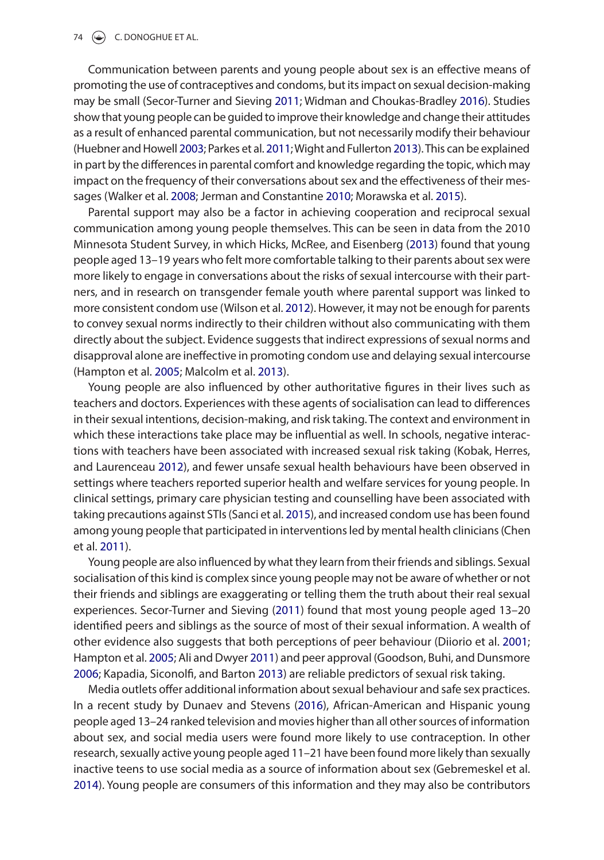#### 74  $\left(\frac{1}{2}\right)$  C. DONOGHUE ET AL.

Communication between parents and young people about sex is an effective means of promoting the use of contraceptives and condoms, but its impact on sexual decision-making may be small (Secor-Turner and Sieving 2011; Widman and Choukas-Bradley 2016). Studies show that young people can be guided to improve their knowledge and change their attitudes as a result of enhanced parental communication, but not necessarily modify their behaviour (Huebner and Howell 2003; Parkes et al. 2011; Wight and Fullerton 2013). This can be explained in part by the differences in parental comfort and knowledge regarding the topic, which may impact on the frequency of their conversations about sex and the effectiveness of their messages (Walker et al. 2008; Jerman and Constantine 2010; Morawska et al. 2015).

Parental support may also be a factor in achieving cooperation and reciprocal sexual communication among young people themselves. This can be seen in data from the 2010 Minnesota Student Survey, in which Hicks, McRee, and eisenberg (2013) found that young people aged 13–19 years who felt more comfortable talking to their parents about sex were more likely to engage in conversations about the risks of sexual intercourse with their partners, and in research on transgender female youth where parental support was linked to more consistent condom use (Wilson et al. 2012). However, it may not be enough for parents to convey sexual norms indirectly to their children without also communicating with them directly about the subject. Evidence suggests that indirect expressions of sexual norms and disapproval alone are ineffective in promoting condom use and delaying sexual intercourse (Hampton et al. 2005; Malcolm et al. 2013).

Young people are also influenced by other authoritative figures in their lives such as teachers and doctors. experiences with these agents of socialisation can lead to differences in their sexual intentions, decision-making, and risk taking. The context and environment in which these interactions take place may be influential as well. In schools, negative interactions with teachers have been associated with increased sexual risk taking (Kobak, Herres, and laurenceau 2012), and fewer unsafe sexual health behaviours have been observed in settings where teachers reported superior health and welfare services for young people. In clinical settings, primary care physician testing and counselling have been associated with taking precautions against STIs (Sanci et al. 2015), and increased condom use has been found among young people that participated in interventions led by mental health clinicians (Chen et al. 2011).

Young people are also influenced by what they learn from their friends and siblings. Sexual socialisation of this kind is complex since young people may not be aware of whether or not their friends and siblings are exaggerating or telling them the truth about their real sexual experiences. Secor-Turner and Sieving (2011) found that most young people aged 13–20 identified peers and siblings as the source of most of their sexual information. A wealth of other evidence also suggests that both perceptions of peer behaviour (Diiorio et al. 2001; Hampton et al. 2005; Ali and Dwyer 2011) and peer approval (goodson, Buhi, and Dunsmore 2006; Kapadia, Siconolfi, and Barton 2013) are reliable predictors of sexual risk taking.

Media outlets offer additional information about sexual behaviour and safe sex practices. In a recent study by Dunaev and Stevens (2016), African-American and Hispanic young people aged 13–24 ranked television and movies higher than all other sources of information about sex, and social media users were found more likely to use contraception. In other research, sexually active young people aged 11–21 have been found more likely than sexually inactive teens to use social media as a source of information about sex (gebremeskel et al. 2014). Young people are consumers of this information and they may also be contributors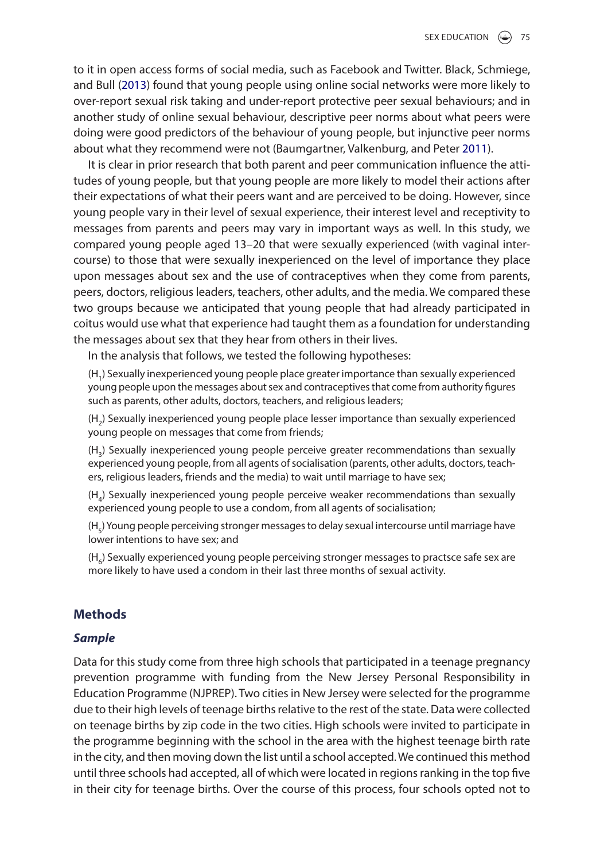to it in open access forms of social media, such as Facebook and Twitter. Black, Schmiege, and Bull (2013) found that young people using online social networks were more likely to over-report sexual risk taking and under-report protective peer sexual behaviours; and in another study of online sexual behaviour, descriptive peer norms about what peers were doing were good predictors of the behaviour of young people, but injunctive peer norms about what they recommend were not (Baumgartner, Valkenburg, and Peter 2011).

It is clear in prior research that both parent and peer communication influence the attitudes of young people, but that young people are more likely to model their actions after their expectations of what their peers want and are perceived to be doing. However, since young people vary in their level of sexual experience, their interest level and receptivity to messages from parents and peers may vary in important ways as well. In this study, we compared young people aged 13–20 that were sexually experienced (with vaginal intercourse) to those that were sexually inexperienced on the level of importance they place upon messages about sex and the use of contraceptives when they come from parents, peers, doctors, religious leaders, teachers, other adults, and the media. We compared these two groups because we anticipated that young people that had already participated in coitus would use what that experience had taught them as a foundation for understanding the messages about sex that they hear from others in their lives.

In the analysis that follows, we tested the following hypotheses:

(H1) Sexually inexperienced young people place greater importance than sexually experienced young people upon the messages about sex and contraceptives that come from authority figures such as parents, other adults, doctors, teachers, and religious leaders;

(H2) Sexually inexperienced young people place lesser importance than sexually experienced young people on messages that come from friends;

(H3) Sexually inexperienced young people perceive greater recommendations than sexually experienced young people, from all agents of socialisation (parents, other adults, doctors, teachers, religious leaders, friends and the media) to wait until marriage to have sex;

(H4) Sexually inexperienced young people perceive weaker recommendations than sexually experienced young people to use a condom, from all agents of socialisation;

(H<sub>5</sub>) Young people perceiving stronger messages to delay sexual intercourse until marriage have lower intentions to have sex; and

 $(H<sub>e</sub>)$  Sexually experienced young people perceiving stronger messages to practsce safe sex are more likely to have used a condom in their last three months of sexual activity.

# **Methods**

# *Sample*

Data for this study come from three high schools that participated in a teenage pregnancy prevention programme with funding from the New Jersey Personal Responsibility in education Programme (NJPReP). Two cities in New Jersey were selected for the programme due to their high levels of teenage births relative to the rest of the state. Data were collected on teenage births by zip code in the two cities. High schools were invited to participate in the programme beginning with the school in the area with the highest teenage birth rate in the city, and then moving down the list until a school accepted. We continued this method until three schools had accepted, all of which were located in regions ranking in the top five in their city for teenage births. Over the course of this process, four schools opted not to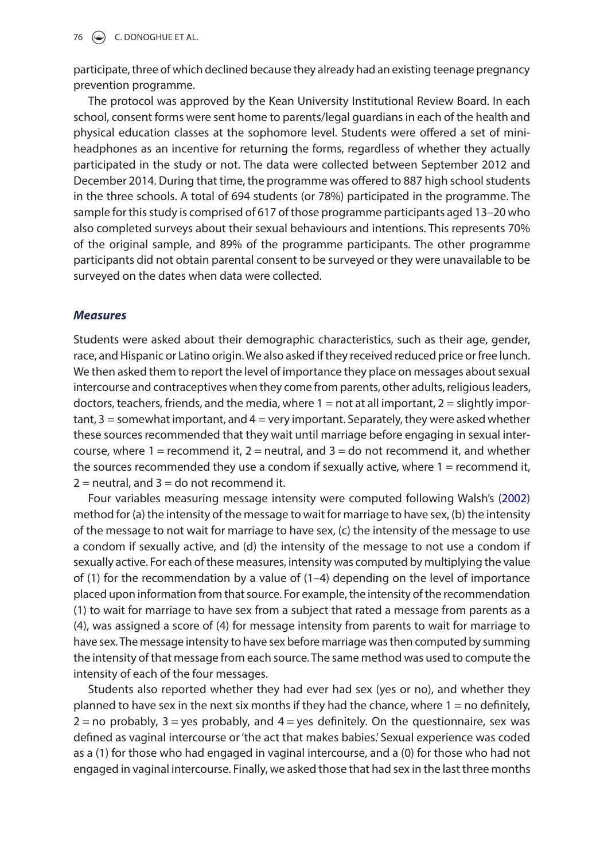76  $\left(\frac{1}{2}\right)$  C. DONOGHUE ET AL.

participate, three of which declined because they already had an existing teenage pregnancy prevention programme.

The protocol was approved by the Kean University Institutional Review Board. In each school, consent forms were sent home to parents/legal guardians in each of the health and physical education classes at the sophomore level. Students were offered a set of miniheadphones as an incentive for returning the forms, regardless of whether they actually participated in the study or not. The data were collected between September 2012 and December 2014. During that time, the programme was offered to 887 high school students in the three schools. A total of 694 students (or 78%) participated in the programme. The sample for this study is comprised of 617 of those programme participants aged 13–20 who also completed surveys about their sexual behaviours and intentions. This represents 70% of the original sample, and 89% of the programme participants. The other programme participants did not obtain parental consent to be surveyed or they were unavailable to be surveyed on the dates when data were collected.

#### *Measures*

Students were asked about their demographic characteristics, such as their age, gender, race, and Hispanic or latino origin. We also asked if they received reduced price or free lunch. We then asked them to report the level of importance they place on messages about sexual intercourse and contraceptives when they come from parents, other adults, religious leaders, doctors, teachers, friends, and the media, where  $1 =$  not at all important,  $2 =$  slightly important,  $3 =$  somewhat important, and  $4 =$  very important. Separately, they were asked whether these sources recommended that they wait until marriage before engaging in sexual intercourse, where 1 = recommend it,  $2$  = neutral, and  $3$  = do not recommend it, and whether the sources recommended they use a condom if sexually active, where  $1 =$  recommend it,  $2$  = neutral, and  $3$  = do not recommend it.

Four variables measuring message intensity were computed following Walsh's (2002) method for (a) the intensity of the message to wait for marriage to have sex, (b) the intensity of the message to not wait for marriage to have sex, (c) the intensity of the message to use a condom if sexually active, and (d) the intensity of the message to not use a condom if sexually active. For each of these measures, intensity was computed by multiplying the value of (1) for the recommendation by a value of (1–4) depending on the level of importance placed upon information from that source. For example, the intensity of the recommendation (1) to wait for marriage to have sex from a subject that rated a message from parents as a (4), was assigned a score of (4) for message intensity from parents to wait for marriage to have sex. The message intensity to have sex before marriage was then computed by summing the intensity of that message from each source. The same method was used to compute the intensity of each of the four messages.

Students also reported whether they had ever had sex (yes or no), and whether they planned to have sex in the next six months if they had the chance, where 1 = no definitely,  $2 =$  no probably,  $3 =$  yes probably, and  $4 =$  yes definitely. On the questionnaire, sex was defined as vaginal intercourse or 'the act that makes babies.' Sexual experience was coded as a (1) for those who had engaged in vaginal intercourse, and a (0) for those who had not engaged in vaginal intercourse. Finally, we asked those that had sex in the last three months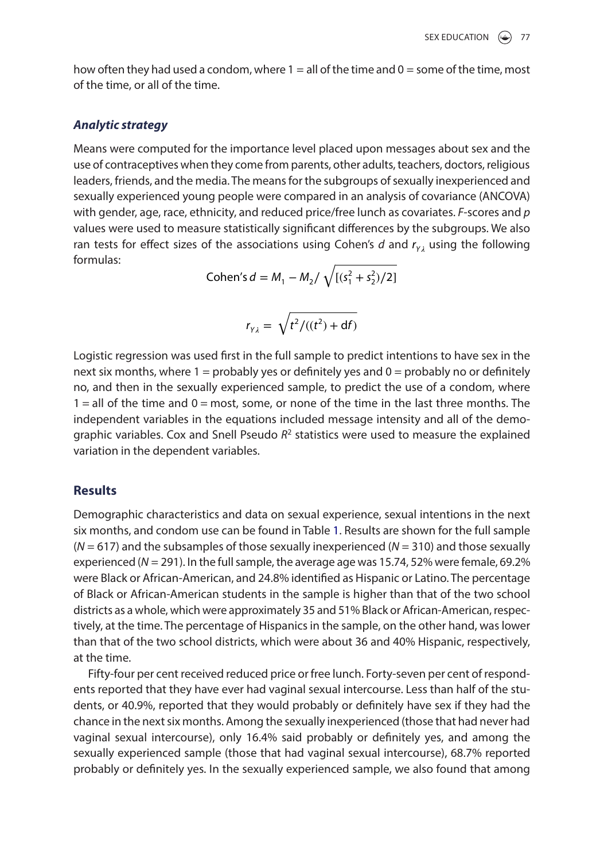how often they had used a condom, where  $1 =$  all of the time and  $0 =$  some of the time, most of the time, or all of the time.

### *Analytic strategy*

Means were computed for the importance level placed upon messages about sex and the use of contraceptives when they come from parents, other adults, teachers, doctors, religious leaders, friends, and the media. The means for the subgroups of sexually inexperienced and sexually experienced young people were compared in an analysis of covariance (ANCOVA) with gender, age, race, ethnicity, and reduced price/free lunch as covariates. *F*-scores and *p* values were used to measure statistically significant differences by the subgroups. We also ran tests for effect sizes of the associations using Cohen's  $d$  and  $r_{y_i}$  using the following formulas:

Cohen's 
$$
d = M_1 - M_2 / \sqrt{[(s_1^2 + s_2^2)/2]}
$$

$$
r_{\gamma\lambda} = \sqrt{t^2/((t^2) + df)}
$$

logistic regression was used first in the full sample to predict intentions to have sex in the next six months, where  $1 =$  probably yes or definitely yes and  $0 =$  probably no or definitely no, and then in the sexually experienced sample, to predict the use of a condom, where  $1 =$  all of the time and  $0 =$  most, some, or none of the time in the last three months. The independent variables in the equations included message intensity and all of the demographic variables. Cox and Snell Pseudo *R*2 statistics were used to measure the explained variation in the dependent variables.

# **Results**

Demographic characteristics and data on sexual experience, sexual intentions in the next six months, and condom use can be found in Table 1. Results are shown for the full sample (*N* = 617) and the subsamples of those sexually inexperienced (*N* = 310) and those sexually experienced ( $N = 291$ ). In the full sample, the average age was 15.74, 52% were female, 69.2% were Black or African-American, and 24.8% identified as Hispanic or latino. The percentage of Black or African-American students in the sample is higher than that of the two school districts as a whole, which were approximately 35 and 51% Black or African-American, respectively, at the time. The percentage of Hispanics in the sample, on the other hand, was lower than that of the two school districts, which were about 36 and 40% Hispanic, respectively, at the time.

Fifty-four per cent received reduced price or free lunch. Forty-seven per cent of respondents reported that they have ever had vaginal sexual intercourse. less than half of the students, or 40.9%, reported that they would probably or definitely have sex if they had the chance in the next six months. Among the sexually inexperienced (those that had never had vaginal sexual intercourse), only 16.4% said probably or definitely yes, and among the sexually experienced sample (those that had vaginal sexual intercourse), 68.7% reported probably or definitely yes. In the sexually experienced sample, we also found that among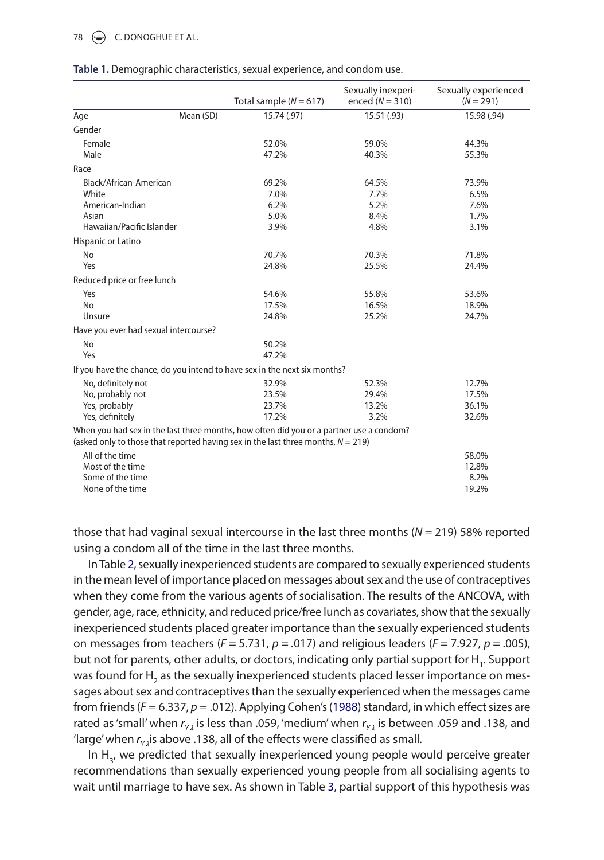# 78  $\left(\frac{1}{2}\right)$  C. DONOGHUE ET AL.

|                                       |           | Total sample ( $N = 617$ )                                                                                                                                                     | Sexually inexperi-<br>enced $(N = 310)$ | Sexually experienced<br>$(N = 291)$ |
|---------------------------------------|-----------|--------------------------------------------------------------------------------------------------------------------------------------------------------------------------------|-----------------------------------------|-------------------------------------|
| Age                                   | Mean (SD) | 15.74 (.97)                                                                                                                                                                    | 15.51 (.93)                             | 15.98 (.94)                         |
| Gender                                |           |                                                                                                                                                                                |                                         |                                     |
| Female                                |           | 52.0%                                                                                                                                                                          | 59.0%                                   | 44.3%                               |
| Male                                  |           | 47.2%                                                                                                                                                                          | 40.3%                                   | 55.3%                               |
| Race                                  |           |                                                                                                                                                                                |                                         |                                     |
| Black/African-American                |           | 69.2%                                                                                                                                                                          | 64.5%                                   | 73.9%                               |
| White                                 |           | 7.0%                                                                                                                                                                           | 7.7%                                    | 6.5%                                |
| American-Indian                       |           | 6.2%                                                                                                                                                                           | 5.2%                                    | 7.6%                                |
| Asian                                 |           | 5.0%                                                                                                                                                                           | 8.4%                                    | 1.7%                                |
| Hawaiian/Pacific Islander             |           | 3.9%                                                                                                                                                                           | 4.8%                                    | 3.1%                                |
| Hispanic or Latino                    |           |                                                                                                                                                                                |                                         |                                     |
| <b>No</b>                             |           | 70.7%                                                                                                                                                                          | 70.3%                                   | 71.8%                               |
| Yes                                   |           | 24.8%                                                                                                                                                                          | 25.5%                                   | 24.4%                               |
| Reduced price or free lunch           |           |                                                                                                                                                                                |                                         |                                     |
| Yes                                   |           | 54.6%                                                                                                                                                                          | 55.8%                                   | 53.6%                               |
| <b>No</b>                             |           | 17.5%                                                                                                                                                                          | 16.5%                                   | 18.9%                               |
| Unsure                                |           | 24.8%                                                                                                                                                                          | 25.2%                                   | 24.7%                               |
| Have you ever had sexual intercourse? |           |                                                                                                                                                                                |                                         |                                     |
| <b>No</b>                             |           | 50.2%                                                                                                                                                                          |                                         |                                     |
| Yes                                   |           | 47.2%                                                                                                                                                                          |                                         |                                     |
|                                       |           | If you have the chance, do you intend to have sex in the next six months?                                                                                                      |                                         |                                     |
| No, definitely not                    |           | 32.9%                                                                                                                                                                          | 52.3%                                   | 12.7%                               |
| No, probably not                      |           | 23.5%                                                                                                                                                                          | 29.4%                                   | 17.5%                               |
| Yes, probably                         |           | 23.7%                                                                                                                                                                          | 13.2%                                   | 36.1%                               |
| Yes, definitely                       |           | 17.2%                                                                                                                                                                          | 3.2%                                    | 32.6%                               |
|                                       |           | When you had sex in the last three months, how often did you or a partner use a condom?<br>(asked only to those that reported having sex in the last three months, $N = 219$ ) |                                         |                                     |
| All of the time                       |           |                                                                                                                                                                                |                                         | 58.0%                               |
| Most of the time                      |           |                                                                                                                                                                                |                                         | 12.8%                               |
| Some of the time                      |           |                                                                                                                                                                                |                                         | 8.2%                                |
| None of the time                      |           |                                                                                                                                                                                |                                         | 19.2%                               |

| Table 1. Demographic characteristics, sexual experience, and condom use. |  |  |
|--------------------------------------------------------------------------|--|--|
|--------------------------------------------------------------------------|--|--|

those that had vaginal sexual intercourse in the last three months (*N* = 219) 58% reported using a condom all of the time in the last three months.

In Table 2, sexually inexperienced students are compared to sexually experienced students in the mean level of importance placed on messages about sex and the use of contraceptives when they come from the various agents of socialisation. The results of the ANCOVA, with gender, age, race, ethnicity, and reduced price/free lunch as covariates, show that the sexually inexperienced students placed greater importance than the sexually experienced students on messages from teachers (*F* = 5.731, *p* = *.*017) and religious leaders (*F* = 7.927, *p* = .005), but not for parents, other adults, or doctors, indicating only partial support for H<sub>1</sub>. Support was found for H<sub>2</sub> as the sexually inexperienced students placed lesser importance on messages about sex and contraceptives than the sexually experienced when the messages came from friends (*F* = 6.337, *p* = .012). Applying Cohen's (1988) standard, in which effect sizes are rated as 'small' when  $r_{yz}$  is less than .059, 'medium' when  $r_{yz}$  is between .059 and .138, and 'large' when r<sub>yz</sub> is above .138, all of the effects were classified as small.

In H<sub>2</sub>, we predicted that sexually inexperienced young people would perceive greater recommendations than sexually experienced young people from all socialising agents to wait until marriage to have sex. As shown in Table 3, partial support of this hypothesis was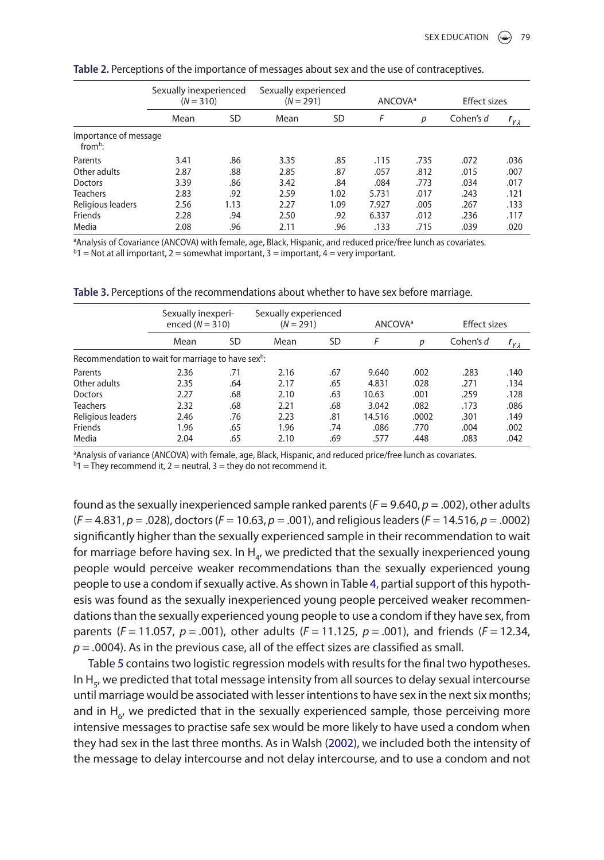|                                              | Sexually inexperienced<br>$(N = 310)$ |           | Sexually experienced<br>$(N = 291)$ |      | <b>ANCOVA</b> <sup>a</sup> |      | <b>Effect sizes</b> |                     |
|----------------------------------------------|---------------------------------------|-----------|-------------------------------------|------|----------------------------|------|---------------------|---------------------|
|                                              | Mean                                  | <b>SD</b> | Mean                                | SD   | F                          | р    | Cohen's d           | $r_{\gamma\lambda}$ |
| Importance of message<br>from <sup>b</sup> : |                                       |           |                                     |      |                            |      |                     |                     |
| Parents                                      | 3.41                                  | .86       | 3.35                                | .85  | .115                       | .735 | .072                | .036                |
| Other adults                                 | 2.87                                  | .88       | 2.85                                | .87  | .057                       | .812 | .015                | .007                |
| Doctors                                      | 3.39                                  | .86       | 3.42                                | .84  | .084                       | .773 | .034                | .017                |
| <b>Teachers</b>                              | 2.83                                  | .92       | 2.59                                | 1.02 | 5.731                      | .017 | .243                | .121                |
| Religious leaders                            | 2.56                                  | 1.13      | 2.27                                | 1.09 | 7.927                      | .005 | .267                | .133                |
| Friends                                      | 2.28                                  | .94       | 2.50                                | .92  | 6.337                      | .012 | .236                | .117                |
| Media                                        | 2.08                                  | .96       | 2.11                                | .96  | .133                       | .715 | .039                | .020                |

**Table 2.** Perceptions of the importance of messages about sex and the use of contraceptives.

aAnalysis of Covariance (ANCOVA) with female, age, Black, Hispanic, and reduced price/free lunch as covariates.

 $b1 = Not$  at all important, 2 = somewhat important, 3 = important, 4 = very important.

|                                                                | Sexually inexperi-<br>enced $(N = 310)$ |           | Sexually experienced<br>$(N = 291)$ |           | ANCOVA <sup>a</sup> |       | <b>Effect sizes</b> |                     |
|----------------------------------------------------------------|-----------------------------------------|-----------|-------------------------------------|-----------|---------------------|-------|---------------------|---------------------|
|                                                                | Mean                                    | <b>SD</b> | Mean                                | <b>SD</b> | F                   | р     | Cohen's d           | $r_{\gamma\lambda}$ |
| Recommendation to wait for marriage to have sex <sup>b</sup> : |                                         |           |                                     |           |                     |       |                     |                     |
| Parents                                                        | 2.36                                    | .71       | 2.16                                | .67       | 9.640               | .002  | .283                | .140                |
| Other adults                                                   | 2.35                                    | .64       | 2.17                                | .65       | 4.831               | .028  | .271                | .134                |
| <b>Doctors</b>                                                 | 2.27                                    | .68       | 2.10                                | .63       | 10.63               | .001  | .259                | .128                |
| <b>Teachers</b>                                                | 2.32                                    | .68       | 2.21                                | .68       | 3.042               | .082  | .173                | .086                |
| Religious leaders                                              | 2.46                                    | .76       | 2.23                                | .81       | 14.516              | .0002 | .301                | .149                |
| Friends                                                        | 1.96                                    | .65       | 1.96                                | .74       | .086                | .770  | .004                | .002                |
| Media                                                          | 2.04                                    | .65       | 2.10                                | .69       | .577                | .448  | .083                | .042                |

**Table 3.** Perceptions of the recommendations about whether to have sex before marriage.

aAnalysis of variance (ANCOVA) with female, age, Black, Hispanic, and reduced price/free lunch as covariates.

 $b1$  = They recommend it, 2 = neutral, 3 = they do not recommend it.

found as the sexually inexperienced sample ranked parents (*F* = 9.640, *p* = .002), other adults (*F* = 4.831, *p* = .028), doctors (*F* = 10.63, *p* = .001), and religious leaders (*F* = 14.516, *p* = .0002) significantly higher than the sexually experienced sample in their recommendation to wait for marriage before having sex. In H<sub>a</sub>, we predicted that the sexually inexperienced young people would perceive weaker recommendations than the sexually experienced young people to use a condom if sexually active. As shown in Table 4, partial support of this hypothesis was found as the sexually inexperienced young people perceived weaker recommendations than the sexually experienced young people to use a condom if they have sex, from parents (*F* = 11.057, *p* = .001), other adults (*F* = 11.125, *p* = .001), and friends (*F* = 12.34, *p* = *.*0004). As in the previous case, all of the effect sizes are classified as small.

Table 5 contains two logistic regression models with results for the final two hypotheses. In  $H_{5}$ , we predicted that total message intensity from all sources to delay sexual intercourse until marriage would be associated with lesser intentions to have sex in the next six months; and in  $H_{6}$ , we predicted that in the sexually experienced sample, those perceiving more intensive messages to practise safe sex would be more likely to have used a condom when they had sex in the last three months. As in Walsh (2002), we included both the intensity of the message to delay intercourse and not delay intercourse, and to use a condom and not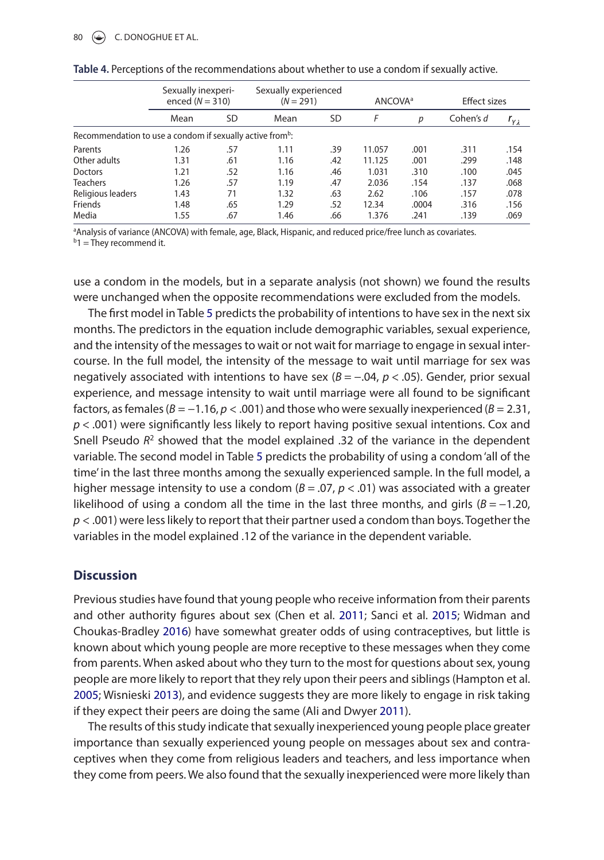|                                                                       | Sexually inexperi-<br>enced $(N = 310)$ |           | Sexually experienced<br>$(N = 291)$ |           | <b>ANCOVA</b> <sup>a</sup> |       | <b>Effect sizes</b> |                     |
|-----------------------------------------------------------------------|-----------------------------------------|-----------|-------------------------------------|-----------|----------------------------|-------|---------------------|---------------------|
|                                                                       | Mean                                    | <b>SD</b> | Mean                                | <b>SD</b> | F                          | р     | Cohen's d           | $r_{\gamma\lambda}$ |
| Recommendation to use a condom if sexually active from <sup>b</sup> : |                                         |           |                                     |           |                            |       |                     |                     |
| Parents                                                               | 1.26                                    | .57       | 1.11                                | .39       | 11.057                     | .001  | .311                | .154                |
| Other adults                                                          | 1.31                                    | .61       | 1.16                                | .42       | 11.125                     | .001  | .299                | .148                |
| <b>Doctors</b>                                                        | 1.21                                    | .52       | 1.16                                | .46       | 1.031                      | .310  | .100                | .045                |
| <b>Teachers</b>                                                       | 1.26                                    | .57       | 1.19                                | .47       | 2.036                      | .154  | .137                | .068                |
| Religious leaders                                                     | 1.43                                    | 71        | 1.32                                | .63       | 2.62                       | .106  | .157                | .078                |
| Friends                                                               | 1.48                                    | .65       | 1.29                                | .52       | 12.34                      | .0004 | .316                | .156                |
| Media                                                                 | 1.55                                    | .67       | 1.46                                | .66       | 1.376                      | .241  | .139                | .069                |

aAnalysis of variance (ANCOVA) with female, age, Black, Hispanic, and reduced price/free lunch as covariates.  $b_1 =$ They recommend it.

use a condom in the models, but in a separate analysis (not shown) we found the results were unchanged when the opposite recommendations were excluded from the models.

The first model in Table 5 predicts the probability of intentions to have sex in the next six months. The predictors in the equation include demographic variables, sexual experience, and the intensity of the messages to wait or not wait for marriage to engage in sexual intercourse. In the full model, the intensity of the message to wait until marriage for sex was negatively associated with intentions to have sex (*B* = −.04, *p* < .05). gender, prior sexual experience, and message intensity to wait until marriage were all found to be significant factors, as females ( $B = -1.16$ ,  $p < .001$ ) and those who were sexually inexperienced ( $B = 2.31$ , *p* < .001) were significantly less likely to report having positive sexual intentions. Cox and Snell Pseudo *R*2 showed that the model explained .32 of the variance in the dependent variable. The second model in Table 5 predicts the probability of using a condom 'all of the time' in the last three months among the sexually experienced sample. In the full model, a higher message intensity to use a condom  $(B = .07, p < .01)$  was associated with a greater likelihood of using a condom all the time in the last three months, and girls  $(B = -1.20$ , *p* < .001) were less likely to report that their partner used a condom than boys. Together the variables in the model explained .12 of the variance in the dependent variable.

# **Discussion**

Previous studies have found that young people who receive information from their parents and other authority figures about sex (Chen et al. 2011; Sanci et al. 2015; Widman and Choukas-Bradley 2016) have somewhat greater odds of using contraceptives, but little is known about which young people are more receptive to these messages when they come from parents. When asked about who they turn to the most for questions about sex, young people are more likely to report that they rely upon their peers and siblings (Hampton et al. 2005; Wisnieski 2013), and evidence suggests they are more likely to engage in risk taking if they expect their peers are doing the same (Ali and Dwyer 2011).

The results of this study indicate that sexually inexperienced young people place greater importance than sexually experienced young people on messages about sex and contraceptives when they come from religious leaders and teachers, and less importance when they come from peers. We also found that the sexually inexperienced were more likely than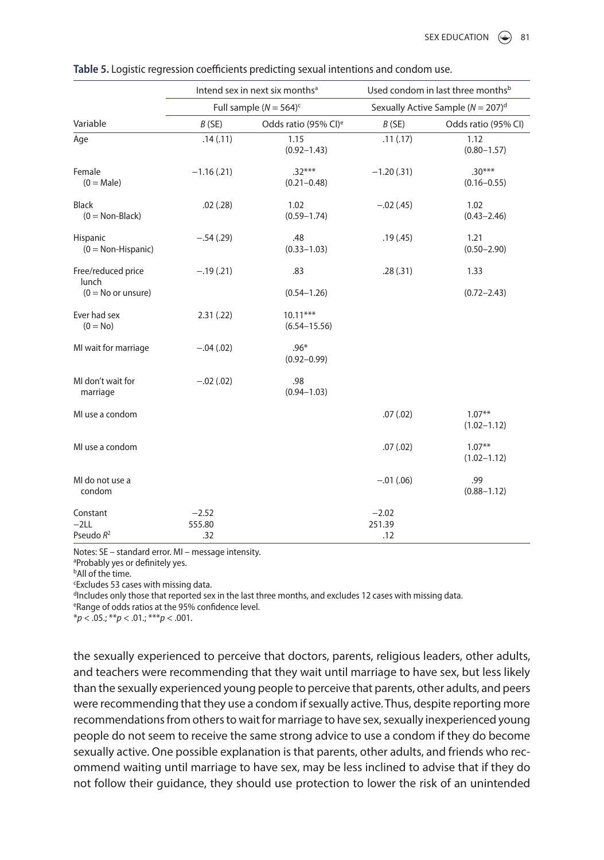|                                          |                   | Intend sex in next six months <sup>a</sup> | Used condom in last three months <sup>b</sup><br>Sexually Active Sample ( $N = 207$ ) <sup>d</sup> |                              |  |
|------------------------------------------|-------------------|--------------------------------------------|----------------------------------------------------------------------------------------------------|------------------------------|--|
|                                          |                   | Full sample $(N = 564)^c$                  |                                                                                                    |                              |  |
| Variable                                 | B(SE)             | Odds ratio (95% CI) <sup>e</sup>           | B(SE)                                                                                              | Odds ratio (95% CI)          |  |
| Age                                      | .14(.11)          | 1.15<br>$(0.92 - 1.43)$                    | .11(.17)                                                                                           | 1.12<br>$(0.80 - 1.57)$      |  |
| Female<br>$(0 = Male)$                   | $-1.16(.21)$      | $.32***$<br>$(0.21 - 0.48)$                | $-1.20(.31)$                                                                                       | $.30***$<br>$(0.16 - 0.55)$  |  |
| <b>Black</b><br>$(0 = \text{Non-Black})$ | .02(.28)          | 1.02<br>$(0.59 - 1.74)$                    | $-.02(.45)$                                                                                        | 1.02<br>$(0.43 - 2.46)$      |  |
| Hispanic<br>$(0 = Non-Hispanic)$         | $-.54(.29)$       | .48<br>$(0.33 - 1.03)$                     | .19(.45)                                                                                           | 1.21<br>$(0.50 - 2.90)$      |  |
| Free/reduced price<br>lunch              | $-.19(.21)$       | .83                                        | .28(.31)                                                                                           | 1.33                         |  |
| $(0 = No or$ unsure)                     |                   | $(0.54 - 1.26)$                            |                                                                                                    | $(0.72 - 2.43)$              |  |
| Ever had sex<br>$(0 = No)$               | 2.31(.22)         | $10.11***$<br>$(6.54 - 15.56)$             |                                                                                                    |                              |  |
| MI wait for marriage                     | $-.04(.02)$       | $.96*$<br>$(0.92 - 0.99)$                  |                                                                                                    |                              |  |
| MI don't wait for<br>marriage            | $-.02(.02)$       | .98<br>$(0.94 - 1.03)$                     |                                                                                                    |                              |  |
| MI use a condom                          |                   |                                            | .07(.02)                                                                                           | $1.07***$<br>$(1.02 - 1.12)$ |  |
| MI use a condom                          |                   |                                            | .07(.02)                                                                                           | $1.07***$<br>$(1.02 - 1.12)$ |  |
| MI do not use a<br>condom                |                   |                                            | $-.01(.06)$                                                                                        | .99<br>$(0.88 - 1.12)$       |  |
| Constant<br>$-2LL$                       | $-2.52$<br>555.80 |                                            | $-2.02$<br>251.39                                                                                  |                              |  |
| Pseudo $R^2$                             | .32               |                                            | .12                                                                                                |                              |  |

| Table 5. Logistic regression coefficients predicting sexual intentions and condom use. |  |
|----------------------------------------------------------------------------------------|--|
|                                                                                        |  |

Notes: SE – standard error. MI – message intensity.

a Probably yes or definitely yes.

**b**All of the time.

c excludes 53 cases with missing data.

dIncludes only those that reported sex in the last three months, and excludes 12 cases with missing data.

e Range of odds ratios at the 95% confidence level.

\**p* < .05.; \*\**p* < .01.; \*\*\**p* < .001.

the sexually experienced to perceive that doctors, parents, religious leaders, other adults, and teachers were recommending that they wait until marriage to have sex, but less likely than the sexually experienced young people to perceive that parents, other adults, and peers were recommending that they use a condom if sexually active. Thus, despite reporting more recommendations from others to wait for marriage to have sex, sexually inexperienced young people do not seem to receive the same strong advice to use a condom if they do become sexually active. One possible explanation is that parents, other adults, and friends who recommend waiting until marriage to have sex, may be less inclined to advise that if they do not follow their guidance, they should use protection to lower the risk of an unintended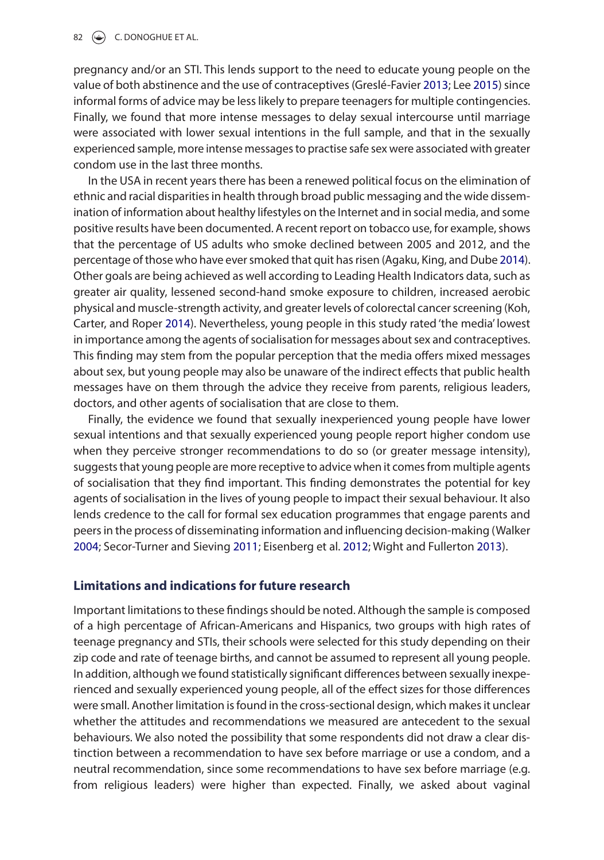pregnancy and/or an STI. This lends support to the need to educate young people on the value of both abstinence and the use of contraceptives (greslé-Favier 2013; lee 2015) since informal forms of advice may be less likely to prepare teenagers for multiple contingencies. Finally, we found that more intense messages to delay sexual intercourse until marriage were associated with lower sexual intentions in the full sample, and that in the sexually experienced sample, more intense messages to practise safe sex were associated with greater condom use in the last three months.

In the USA in recent years there has been a renewed political focus on the elimination of ethnic and racial disparities in health through broad public messaging and the wide dissemination of information about healthy lifestyles on the Internet and in social media, and some positive results have been documented. A recent report on tobacco use, for example, shows that the percentage of US adults who smoke declined between 2005 and 2012, and the percentage of those who have ever smoked that quit has risen (Agaku, King, and Dube 2014). Other goals are being achieved as well according to leading Health Indicators data, such as greater air quality, lessened second-hand smoke exposure to children, increased aerobic physical and muscle-strength activity, and greater levels of colorectal cancer screening (Koh, Carter, and Roper 2014). Nevertheless, young people in this study rated 'the media' lowest in importance among the agents of socialisation for messages about sex and contraceptives. This finding may stem from the popular perception that the media offers mixed messages about sex, but young people may also be unaware of the indirect effects that public health messages have on them through the advice they receive from parents, religious leaders, doctors, and other agents of socialisation that are close to them.

Finally, the evidence we found that sexually inexperienced young people have lower sexual intentions and that sexually experienced young people report higher condom use when they perceive stronger recommendations to do so (or greater message intensity), suggests that young people are more receptive to advice when it comes from multiple agents of socialisation that they find important. This finding demonstrates the potential for key agents of socialisation in the lives of young people to impact their sexual behaviour. It also lends credence to the call for formal sex education programmes that engage parents and peers in the process of disseminating information and influencing decision-making (Walker 2004; Secor-Turner and Sieving 2011; eisenberg et al. 2012; Wight and Fullerton 2013).

# **Limitations and indications for future research**

Important limitations to these findings should be noted. Although the sample is composed of a high percentage of African-Americans and Hispanics, two groups with high rates of teenage pregnancy and STIs, their schools were selected for this study depending on their zip code and rate of teenage births, and cannot be assumed to represent all young people. In addition, although we found statistically significant differences between sexually inexperienced and sexually experienced young people, all of the effect sizes for those differences were small. Another limitation is found in the cross-sectional design, which makes it unclear whether the attitudes and recommendations we measured are antecedent to the sexual behaviours. We also noted the possibility that some respondents did not draw a clear distinction between a recommendation to have sex before marriage or use a condom, and a neutral recommendation, since some recommendations to have sex before marriage (e.g. from religious leaders) were higher than expected. Finally, we asked about vaginal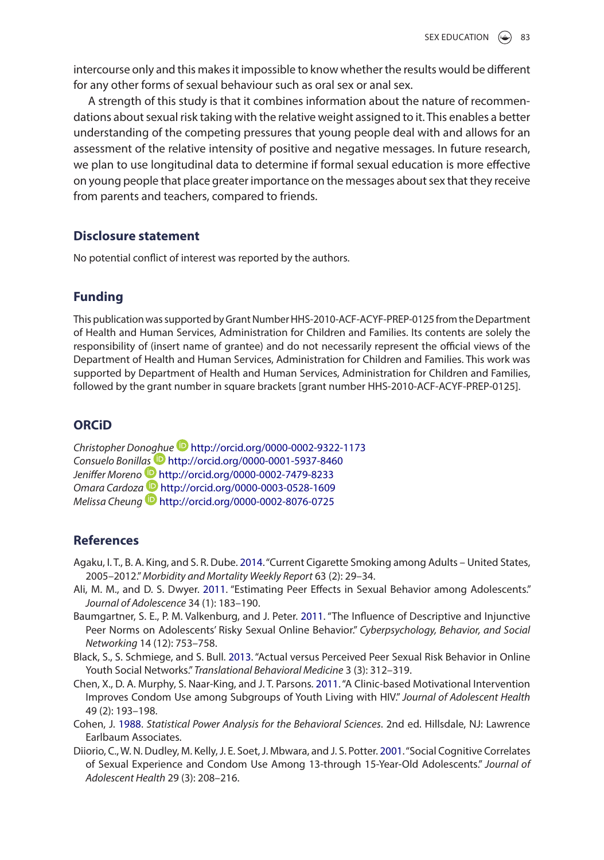intercourse only and this makes it impossible to know whether the results would be different for any other forms of sexual behaviour such as oral sex or anal sex.

A strength of this study is that it combines information about the nature of recommendations about sexual risk taking with the relative weight assigned to it. This enables a better understanding of the competing pressures that young people deal with and allows for an assessment of the relative intensity of positive and negative messages. In future research, we plan to use longitudinal data to determine if formal sexual education is more effective on young people that place greater importance on the messages about sex that they receive from parents and teachers, compared to friends.

# **Disclosure statement**

No potential conflict of interest was reported by the authors.

# **Funding**

This publication was supported by grant Number HHS-2010-ACF-ACYF-PReP-0125 from the Department of Health and Human Services, Administration for Children and Families. Its contents are solely the responsibility of (insert name of grantee) and do not necessarily represent the official views of the Department of Health and Human Services, Administration for Children and Families. This work was supported by Department of Health and Human Services, Administration for Children and Families, followed by the grant number in square brackets [grant number HHS-2010-ACF-ACYF-PReP-0125].

# **ORCiD**

*Christopher Don[oghue](http://orcid.org)* <http://orcid.org/0000-0002-9322-1173> *Consuelo Bonill[as](http://orcid.org)* <http://orcid.org/0000-0001-5937-8460> *Jeniffer Moreno* <http://orcid.org/0000-0002-7479-8233> *Omara Cardoz[a](http://orcid.org)* <http://orcid.org/0000-0003-0528-1609> *Melissa Cheung* <http://orcid.org/0000-0002-8076-0725>

# **References**

- Agaku, I. T., B. A. King, and S. R. Dube. 2014. "Current Cigarette Smoking among Adults United States, 2005–2012." *Morbidity and Mortality Weekly Report* 63 (2): 29–34.
- Ali, M. M., and D. S. Dwyer. 2011. "estimating Peer effects in Sexual Behavior among Adolescents." *Journal of Adolescence* 34 (1): 183–190.
- Baumgartner, S. E., P. M. Valkenburg, and J. Peter. 2011. "The Influence of Descriptive and Injunctive Peer Norms on Adolescents' Risky Sexual Online Behavior." *Cyberpsychology, Behavior, and Social Networking* 14 (12): 753–758.
- Black, S., S. Schmiege, and S. Bull. 2013. "Actual versus Perceived Peer Sexual Risk Behavior in Online Youth Social Networks." *Translational Behavioral Medicine* 3 (3): 312–319.
- Chen, x., D. A. Murphy, S. Naar-King, and J. T. Parsons. 2011. "A Clinic-based Motivational Intervention Improves Condom Use among Subgroups of Youth living with HIV." *Journal of Adolescent Health* 49 (2): 193–198.
- Cohen, J. 1988. *Statistical Power Analysis for the Behavioral Sciences*. 2nd ed. Hillsdale, NJ: lawrence Earlbaum Associates.
- Diiorio, C., W. N. Dudley, M. Kelly, J. e. Soet, J. Mbwara, and J. S. Potter. 2001. "Social Cognitive Correlates of Sexual experience and Condom Use Among 13-through 15-Year-Old Adolescents." *Journal of Adolescent Health* 29 (3): 208–216.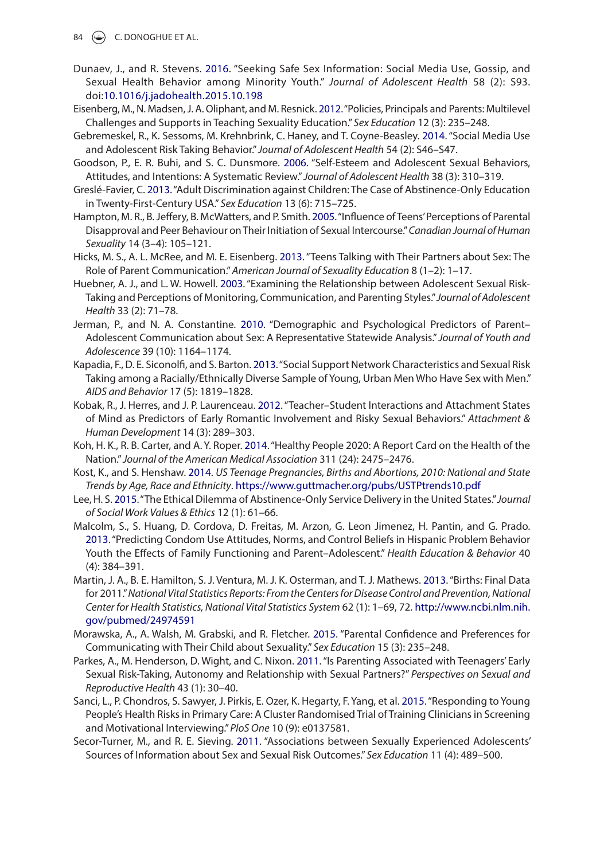- 84  $\left(\frac{1}{2}\right)$  C. DONOGHUE ET AL.
- Dunaev, J., and R. Stevens. 2016. "Seeking Safe Sex Information: Social Media Use, gossip, and Sexual Health Behavior among Minority Youth." *Journal of Adolescent Health* 58 (2): S93. doi:[10.1016/j.jadohealth.2015.10.198](http://dx.doi.org/10.1016/j.jadohealth.2015.10.198)
- eisenberg, M., N. Madsen, J. A. Oliphant, and M. Resnick. 2012. "Policies, Principals and Parents: Multilevel Challenges and Supports in Teaching Sexuality education." *Sex Education* 12 (3): 235–248.
- gebremeskel, R., K. Sessoms, M. Krehnbrink, C. Haney, and T. Coyne-Beasley. 2014. "Social Media Use and Adolescent Risk Taking Behavior." *Journal of Adolescent Health* 54 (2): S46–S47.
- goodson, P., e. R. Buhi, and S. C. Dunsmore. 2006. "Self-esteem and Adolescent Sexual Behaviors, Attitudes, and Intentions: A Systematic Review." *Journal of Adolescent Health* 38 (3): 310–319.
- greslé-Favier, C. 2013. "Adult Discrimination against Children: The Case of Abstinence-Only education in Twenty-First-Century USA." *Sex Education* 13 (6): 715–725.
- Hampton, M. R., B. Jeffery, B. McWatters, and P. Smith. 2005. "Influence of Teens' Perceptions of Parental Disapproval and Peer Behaviour on Their Initiation of Sexual Intercourse." *Canadian Journal of Human Sexuality* 14 (3–4): 105–121.
- Hicks, M. S., A. l. McRee, and M. e. eisenberg. 2013. "Teens Talking with Their Partners about Sex: The Role of Parent Communication." *American Journal of Sexuality Education* 8 (1–2): 1–17.
- Huebner, A. J., and L. W. Howell. 2003. "Examining the Relationship between Adolescent Sexual Risk-Taking and Perceptions of Monitoring, Communication, and Parenting Styles." *Journal of Adolescent Health* 33 (2): 71–78.
- Jerman, P., and N. A. Constantine. 2010. "Demographic and Psychological Predictors of Parent– Adolescent Communication about Sex: A Representative Statewide Analysis." *Journal of Youth and Adolescence* 39 (10): 1164–1174.
- Kapadia, F., D. E. Siconolfi, and S. Barton. 2013. "Social Support Network Characteristics and Sexual Risk Taking among a Racially/ethnically Diverse Sample of Young, Urban Men Who Have Sex with Men." *AIDS and Behavior* 17 (5): 1819–1828.
- Kobak, R., J. Herres, and J. P. laurenceau. 2012. "Teacher–Student Interactions and Attachment States of Mind as Predictors of early Romantic Involvement and Risky Sexual Behaviors." *Attachment & Human Development* 14 (3): 289–303.
- Koh, H. K., R. B. Carter, and A. Y. Roper. 2014. "Healthy People 2020: A Report Card on the Health of the Nation." *Journal of the American Medical Association* 311 (24): 2475–2476.
- Kost, K., and S. Henshaw. 2014. *US Teenage Pregnancies, Births and Abortions, 2010: National and State Trends by Age, Race and Ethnicity*. <https://www.guttmacher.org/pubs/USTPtrends10.pdf>
- lee, H. S. 2015. "The ethical Dilemma of Abstinence-Only Service Delivery in the United States." *Journal of Social Work Values & Ethics* 12 (1): 61–66.
- Malcolm, S., S. Huang, D. Cordova, D. Freitas, M. Arzon, G. Leon Jimenez, H. Pantin, and G. Prado. 2013. "Predicting Condom Use Attitudes, Norms, and Control Beliefs in Hispanic Problem Behavior Youth the effects of Family Functioning and Parent–Adolescent." *Health Education & Behavior* 40 (4): 384–391.
- Martin, J. A., B. e. Hamilton, S. J. Ventura, M. J. K. Osterman, and T. J. Mathews. 2013. "Births: Final Data for 2011." *National Vital Statistics Reports: From the Centers for Disease Control and Prevention, National Center for Health Statistics, National Vital Statistics System* 62 (1): 1–69, 72. [http://www.ncbi.nlm.nih.](http://www.ncbi.nlm.nih.gov/pubmed/24974591) [gov/pubmed/24974591](http://www.ncbi.nlm.nih.gov/pubmed/24974591)
- Morawska, A., A. Walsh, M. grabski, and R. Fletcher. 2015. "Parental Confidence and Preferences for Communicating with Their Child about Sexuality." *Sex Education* 15 (3): 235–248.
- Parkes, A., M. Henderson, D. Wight, and C. Nixon. 2011. "Is Parenting Associated with Teenagers' Early Sexual Risk-Taking, Autonomy and Relationship with Sexual Partners?" *Perspectives on Sexual and Reproductive Health* 43 (1): 30–40.
- Sanci, l., P. Chondros, S. Sawyer, J. Pirkis, e. Ozer, K. Hegarty, F. Yang, et al. 2015. "Responding to Young People's Health Risks in Primary Care: A Cluster Randomised Trial of Training Clinicians in Screening and Motivational Interviewing." *PloS One* 10 (9): e0137581.
- Secor-Turner, M., and R. E. Sieving. 2011. "Associations between Sexually Experienced Adolescents' Sources of Information about Sex and Sexual Risk Outcomes." *Sex Education* 11 (4): 489–500.